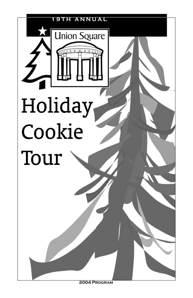

 **2004 Program**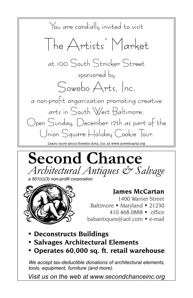





**Iames McCartan** 

1400 Warner Street Baltimore • Maryland • 21230 410.468.0888 • office

babantiques@aol.com • e-mail

- Deconstructs Buildings
- Salvages Architectural Elements
- Operates 60,000 sq. ft. retail warehouse

We accept tax-deductible donations of architectural elements, tools, equipment, furniture (and more).

Visit us on the web at www.secondchanceinc.org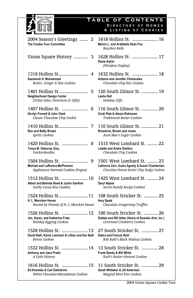

## **Table of Contents**  Directory of Homes & Listing of Cookies

| 2004 Season's Greetings<br>2<br>The Cookie Tour Committee                                           | 1618 Hollins St.  16<br>Melvin L. and Ardebella Dean Fox<br><b>Rourbon Ralls</b>                                             |
|-----------------------------------------------------------------------------------------------------|------------------------------------------------------------------------------------------------------------------------------|
| Union Square History<br>3                                                                           | 1628 Hollins St.  17<br><b>Diane Asher</b><br>(Window Display)                                                               |
| 1318 Hollins St<br>4<br>Sameerah S. Muhammad<br>Butter, Ginger & Nut Cookies                        | 1632 Hollins St.  18<br><b>Antonio and Jennifer Clinkscales</b><br>Chocolate Chip Nut Cookies                                |
| 1401 Hollins St<br>5<br>Neighborhood Design Center<br>(Ticket Sales, Directions & Gifts)            | 120 South Gilmor St.  19<br><b>Leslie Dell</b><br><b>Holiday Gifts</b>                                                       |
| 1407 Hollins St.<br>6<br>Devlyn Fennell & John Clark<br>Classic Chocolate Chip Cookie               | 116 South Gilmor St.  20<br>Cindi Ptak & Alesia Robinson<br>Traditional Butter Cookies                                       |
| 1410 Hollins St<br>7<br>Ron and Betty Brown<br>Spritz Cookies                                       | 110 South Gilmor St.  21<br>Brosenne, Brown and Jones<br>Aunt Mae's Sugar Cookies                                            |
| 8<br>1420 Hollins St.<br>Tonya M. Osborne, Esq.<br>Snickerdoodles                                   | 1515 West Lombard St.  22<br><b>Lizette and Andre Shelton</b><br>Chocolate Chip Cookies                                      |
| 1504 Hollins St.<br>9<br>Michael and LaRonica McPherson<br>Applesauce Oatmeal Cookies (Vegan)       | 1501 West Lombard St.  23<br>Catherine Zorc, Audra Agnelly & Susan Chamberlain<br>Chocolate Peanut Butter Chip Fudge Cookies |
| 1512 Hollins St.  10<br>Albert and Belinda Reed & Justin Gardner<br>Darby Cocoa Kiss Cookies        | 1425 West Lombard St.  24<br>Daryl Napier<br>Secret Family Recipe Cookies                                                    |
| 1524 Hollins St 11<br>H. L. Mencken House<br>Hosted by Friends of H. L. Mencken House               | 108 South Stricker St.  25<br>Amy Spatz<br>Chocolate Gingersnap Truffles                                                     |
| 1526 Hollins St.  12<br>Jim, Karen, and Katherine Fretz<br>Holiday Eggnog Cookies                   | 100 South Stricker St.  26<br>Debbie and Bill Adler (Home of Sowebo Arts, Inc.)<br>Cornmeal Cranberry Cookies                |
| 1528 Hollins St.  13<br>David Naill, Karen Lemmert & Lillian and Ilan Naill<br><b>Benne Cookies</b> | 27 South Stricker St.   27<br>Debra and Francis Rahl<br><b>Bob Rahl's Black Walnut Cookies</b>                               |
| 1532 Hollins St.   14<br>Anthony and Jana Prado<br>A Little History                                 | 13 South Stricker St.  28<br>Frank Bandy & Bill White<br>Ruth's Butter Almond Cookies                                        |
| 1616 Hollins St.  15<br>Ed Knowles & Carl Dahlstrom<br>White Chocolate-Macadamia Cookies            | 11 South Stricker St.  29<br>Sarah Whitaker & Jill Amerman<br>Magical Mint Kiss Cookies                                      |

- ................. 21 *Aunt Mae's Sugar Cookies*
- St. ......... 22

#### St. ......... 23 usan Chamberlain *Chocolate Peanut Butter Chip Fudge Cookies*

- ............... 27 *Bob Rahl's Black Walnut Cookies*
- .............. 28 *Ruth's Butter Almond Cookies*

................ 29 *Magical Mint Kiss Cookies*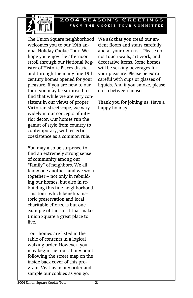

The Union Square neighborhood We ask that you tread our anwelcomes you to our 19th annual Holiday Cookie Tour. We hope you enjoy the afternoon stroll through our National Register of Historic Places district, and through the many fine 19th century homes opened for your pleasure. If you are new to our tour, you may be surprised to find that while we are very consistent in our views of proper Victorian streetscape, we vary widely in our concepts of interior decor. Our homes run the gamut of style from country to contemporary, with eclectic coexistence as a common rule.

**Inion Souare** 

You may also be surprised to find an extremely strong sense of community among our "family" of neighbors. We all know one another, and we work together – not only in rebuilding our homes, but also in rebuilding this fine neighborhood. This tour, which benefits historic preservation and local charitable efforts, is but one example of the spirit that makes Union Square a great place to live.

Tour homes are listed in the table of contents in a logical walking order. However, you may begin the tour at any point, following the street map on the inside back cover of this program. Visit us in any order and sample our cookies as you go.

cient floors and stairs carefully and at your own risk. Please do not touch walls, art work, and decorative items. Some homes will be serving beverages for your pleasure. Please be extra careful with cups or glasses of liquids. And if you smoke, please do so between houses.

Thank you for joining us. Have a happy holiday.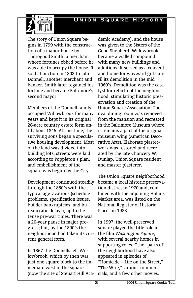## **Union Square History**



The story of Union Square begins in 1799 with the construction of a manor house by Thorogood Smith, a merchant whose fortunes ebbed before he was able to occupy the house. It sold at auction in 1802 to John Donnell, another merchant and banker. Smith later regained his fortune and became Baltimore's second mayor.

Members of the Donnell family occupied Willowbrook for many years and kept it in its original 26-acre country estate form until about 1846. At this time, the surviving sons began a speculative housing development. Most of the land was divided into building lots, streets were laid according to Poppleton's plan, and embellishment of the square was begun by the City.

Development continued steadily through the 1850's with the typical aggravations (schedule problems, specification issues, builder bankruptcies, and bureaucratic delays), up to the tense pre-war times. There was a 20-year pause in major progress; but, by the 1890's the neighborhood had taken its current general form.

In 1867 the Donnells left Willowbrook, which by then was just one square block to the immediate west of the square (now the site of Steuart Hill Aca-

demic Academy), and the house was given to the Sisters of the Good Shepherd. Willowbrook became a walled compound with many new buildings and additions. It served as a convent and home for wayward girls until its demolition in the mid 1960's. Demolition was the catalyst for rebirth of the neighborhood, stimulating historic preservation and creation of the Union Square Association. The oval dining room was removed from the mansion and recreated in the Baltimore Museum where it remains a part of the original museum wing (American Decorative Arts). Elaborate plasterwork was restored and recreated by the late Chancery W. Dunlap, Union Square resident and master plasterer.

The Union Square neighborhood became a local historic preservation district in 1970 and, combined with the adjoining Hollins Market area, was listed on the National Register of Historic Places in 1983.

In 1997, the well-preserved square played the title role in the film *Washington Square*, with several nearby homes in supporting roles. Other parts of the neighborhood have also appeared in episodes of "Homicide – Life on the Street," "The Wire," various commercials, and a few other movies.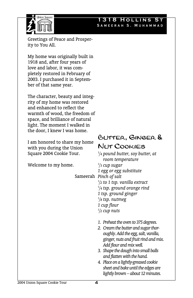## **1318 Hollins St**  Sameerah S. Muhammad



Greetings of Peace and Prosperity to You All.

My home was originally built in 1918 and, after four years of love and labor, it was completely restored in February of 2003. I purchased it in September of that same year.

The character, beauty and integrity of my home was restored and enhanced to reflect the warmth of wood, the freedom of space, and brilliance of natural light. The moment I walked in the door, I knew I was home.

I am honored to share my home with you during the Union Square 2004 Cookie Tour.

Welcome to my home.

## Butter, Ginger & Nut Cookies

Sameerah *Pinch of salt 1 /4 pound butter, soy butter, at room temperature 1 /3 cup sugar 1 egg or egg substitute 1 /2 to 1 tsp. vanilla extract 1 /4 tsp. ground orange rind 1 tsp. ground ginger 1 /8 tsp. nutmeg 1 cup flour 1 /2 cup nuts* 

- *1. Preheat the oven to 375 degrees.*
- *2. Cream the butter and sugar thoroughly. Add the egg, salt, vanilla, ginger, nuts and fruit rind and mix. Add flour and mix well.*
- *3. Shape the dough into small balls and flatten with the hand.*
- *4. Place on a lightly-greased cookie sheet and bake until the edges are lightly brown – about 12 minutes.*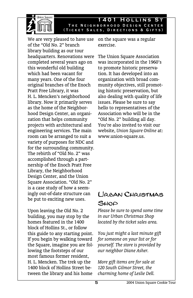

**1401 Hollins St**  The Neighborhood Design Center (Ticket Sales, Directions & Gifts)

We are very pleased to have use on the square was a regular of the "Old No. 2" branch library building as our tour headquarters. Renovations were completed several years ago on this wonderful old building which had been vacant for many years. One of the four original branches of the Enoch Pratt Free Library, it was H. L. Mencken's neighborhood library. Now it primarily serves as the home of the Neighborhood Design Center, an organization that helps community projects with architectural and engineering services. The main room can be arranged to suit a variety of purposes for NDC and for the surrounding community. The rebirth of "Old No. 2" was accomplished through a partnership of the Enoch Pratt Free Library, the Neighborhood Design Center, and the Union Square Association. "Old No. 2" is a case study of how a seemingly out-of-date structure can be put to exciting new uses.

Upon leaving the Old No. 2 building, you may stop by the homes featured in the 1400 block of Hollins St., or follow this guide to any starting point. If you begin by walking toward the Square, imagine you are following the footsteps of our most famous former resident, H. L. Mencken. The trek up the 1400 block of Hollins Street between the library and his home

exercise.

The Union Square Association was incorporated in the 1960's to promote historic preservation. It has developed into an organization with broad community objectives, still promoting historic preservation, but also dealing with quality of life issues. Please be sure to say hello to representatives of the Association who will be in the "Old No. 2" building all day. You're also invited to visit our website, *Union Square Online* at: www.union-square.us.

## Urban Christmas SHOP

*Please be sure to spend some time in our Urban Christmas Shop located by the ticket sales area.* 

*You just might a last minute gift for someone on your list or for yourself. The store is provided by our neighbor Diane Asher.* 

*More gift items are for sale at 120 South Gilmor Street, the charming home of Leslie Dell.*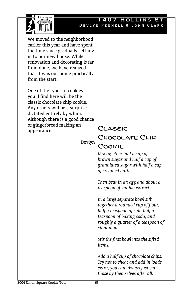

#### **HOLLINS** Devlyn Fennell & John Clark

We moved to the neighborhood earlier this year and have spent the time since gradually settling in to our new house. While renovation and decorating is far from done, we have realized that it was our home practically from the start.

One of the types of cookies you'll find here will be the classic chocolate chip cookie. Any others will be a surprise dictated entirely by whim. Although there is a good chance of gingerbread making an appearance.

Devlyn

## Classic Chocolate Chip Cookie

*Mix together half a cup of brown sugar and half a cup of granulated sugar with half a cup of creamed butter.* 

*Then beat in an egg and about a teaspoon of vanilla extract.* 

*In a large separate bowl sift together a rounded cup of flour, half a teaspoon of salt, half a teaspoon of baking soda, and roughly a quarter of a teaspoon of cinnamon.* 

*Stir the first bowl into the sifted items.* 

*Add a half cup of chocolate chips. Try not to cheat and add in loads extra, you can always just eat those by themselves after all.*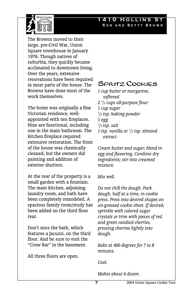### **1410 Hollins St**  Ron and Betty Brown



The Browns moved to their large, pre-Civil War, Union Square townhouse in January 1976. Though natives of suburbia, they quickly became acclimated to downtown living. Over the years, extensive renovations have been required in most parts of the house. The Browns have done most of the work themselves.

The home was originally a fine Victorian residence, wellappointed with ten fireplaces. Nine are functional, including one in the main bathroom. The kitchen fireplace required extensive restoration. The front of the house was chemically cleaned; but the owners did painting and addition of exterior shutters.

At the rear of the property is a small garden with a fountain. The main kitchen, adjoining laundry room, and bath have been completely remodeled. A spacious family room/study has been added on the third floor rear.

Don't miss the bath, which features a Jacuzzi, on the third floor. And be sure to visit the "Crow Bar" in the basement.

All three floors are open.

## Spritz Cookies

*1 cup butter or margarine, softened 2 1 /3 cups all-purpose flour 1 cup sugar 1 /2 tsp. baking powder 1 egg 1 /4 tsp. salt 1 tsp. vanilla or 1 /2 tsp. almond* 

*extract* 

*Cream butter and sugar; blend in egg and flavoring. Combine dry ingredients; stir into creamed mixture.* 

*Mix well.* 

*Do not chill the dough. Pack dough, half at a time, in cookie press. Press into desired shapes on un-greased cookie sheet. If desired, sprinkle with colored sugar crystals or trim with pieces of red and green candied cherries, pressing cherries lightly into dough.* 

*Bake at 400 degrees for 7 to 8 minutes.* 

*Cool.* 

*Makes about 6 dozen.*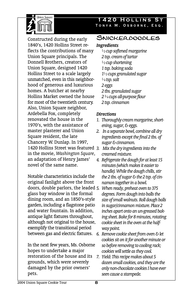

Constructed during the early 1840's, 1420 Hollins Street reflects the contributions of many Union Square principals. The Donnell Brothers, creators of Union Square, designed 1420 Hollins Street to a scale largely unmatched, even in this neighborhood of generous and luxurious homes. A butcher at nearby Hollins Market owned the house for most of the twentieth century. Also, Union Square neighbor, Ardebella Fox, completely renovated the house in the 1970's, with the assistance of master plasterer and Union Square resident, the late Chancery W. Dunlap. In 1997, 1420 Hollins Street was featured *3. Mix the dry ingredients into the*  in the movie, *Washington Square*, an adaptation of Henry James' novel of the same name.

Notable characteristics include the original fanlight above the front doors, double parlors, the leaded glass bay window in the formal dining room, and an 1850's-style garden, including a flagstone patio and water fountain. In addition, antique light fixtures throughout, although not original to the house, exemplify the transitional period between gas and electric fixtures.

In the next few years, Ms. Osborne hopes to undertake a major restoration of the house and its grounds, which were severely damaged by the prior owners' pets.

## **1420 Hollins St**  Tonya M. Osborne, Esq.

## Snickerdoodles

## *Ingredients*

- *½ cup softened margarine 2 tsp. cream of tartar ½ cup shortening 1 tsp. baking soda 1½ cups granulated sugar ¼ tsp. salt 2 eggs 2 tbs. granulated sugar 2 ¾ cups all-purpose flour*
- *2 tsp. cinnamon*

## *Directions*

- *1. Thoroughly cream margarine, shortening, sugar, & eggs.*
- *2. In a separate bowl, combine all dry ingredients except the final 2 tbs. of sugar & cinnamon.*
- *creamed mixture.*
- *4. Refrigerate the dough for at least 15 minutes (which makes it easier to handle). While the dough chills, stir the 2 tbs. of sugar & the 2 tsp. of cinnamon together in a bowl.* 
	- *5. When ready, preheat oven to 375 degrees. Form dough into balls the size of small walnuts. Roll dough balls in sugar/cinnamon mixture. Place 2 inches apart onto an un-greased baking sheet. Bake for 8 minutes, rotating cookie sheet in the oven at the halfway point.*
- *6. Remove cookie sheet from oven & let cookies sit on it for another minute or so before removing to cooling rack; cookies will settle as they cool.*
- *7. Yield: This recipe makes about 5 dozen small cookies, and they are the only non-chocolate cookies I have ever seen cause a stampede.*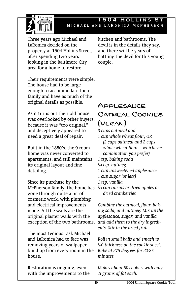

## **1504 HOLLINS** Michael and LaRonica McPherson

Three years ago Michael and LaRonica decided on the property at 1504 Hollins Street, after spending two years looking in the Baltimore City area for a home to restore.

Their requirements were simple. The house had to be large enough to accommodate their family and have as much of the original details as possible.

As it turns out their old house was overlooked by other buyers, because it was "too original," and deceptively appeared to need a great deal of repair.

Built in the 1880's, the 9 room home was never converted to apartments, and still maintains its original layout and fine detailing.

Since its purchase by the McPherson family, the home has *2 /3 cup raisins or dried apples or*  gone through quite a bit of cosmetic work, with plumbing and electrical improvements made. All the walls are the original plaster walls with the exception of the two bathrooms.

The most tedious task Michael and LaRonica had to face was removing years of wallpaper build up from every room in the house.

Restoration is ongoing, even with the improvements to the kitchen and bathrooms. The devil is in the details they say, and there will be years of battling the devil for this young couple.

## Applesauce Oatmeal Cookies (Vegan)

*3 cups oatmeal and 1 cup whole wheat flour, OR (2 cups oatmeal and 2 cups whole wheat flour – whichever combination you prefer) 1 tsp. baking soda 1 /4 tsp. nutmeg 1 cup unsweetened applesauce 1 cup sugar (or less) 1 tsp. vanilla* 

*dried cranberries* 

*Combine the oatmeal, flour, baking soda, and nutmeg. Mix up the applesauce, sugar, and vanilla and add them to the dry ingredients. Stir in the dried fruit.* 

*Roll in small balls and smash to 1 /4" thickness on the cookie sheet. Bake at 275 degrees for 22-25 minutes.* 

*Makes about 50 cookies with only .3 grams of fat each.*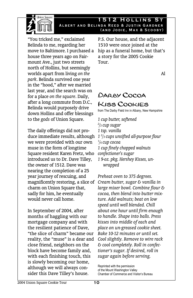

#### **1512 Hollins St**  Albert and Belinda Reed & Justin Gardner (and Jodie, Max & Scooby)

"You tricked me," exclaimed Belinda to me, regarding her move to Baltimore. I purchased a house three years ago on Fairmount Ave., just two streets north of Hollins, but seemingly worlds apart from living *on the park*. Belinda survived one year in the "hood," after we married last year, and the search was on for a place *on the square*. Daily, after a long commute from D.C., Belinda would purposely drive down Hollins and offer blessings to the *gods* of Union Square.

The daily offerings did not produce immediate results, although we were provided with our own muse in the form of longtime Square resident Karen Fretz, who introduced us to Dr. Dave Tilley, the owner of 1512. Dave was nearing the completion of a 25 year journey of rescuing, and magnificently restoring, a slice of charm on Union Square that, sadly for him, he eventually would never call home.

In September of 2004, after months of haggling with our mortgage company and with the resilient patience of Dave, "the slice of charm" became our reality, the "muse" is a dear and close friend, neighbors on the block have become family and, with each finishing touch, this is slowly becoming our home, although we will always consider this Dave Tilley's house.

P.S. Our house, and the adjacent 1510 were once joined at the hip as a funeral home, but that's a story for the 2005 Cookie Tour.

Al

# Darby Cocoa Kiss Cookies

from The Darby Field Inn in Albany, New Hampshire

*1 cup butter, softened 2 /3 cup sugar 1 tsp. vanilla 1 2 /3 cups unsifted all-purpose flour 1 /4 cup cocoa 1 cup finely chopped walnuts confectioner's sugar 1 9-oz. pkg. Hershey Kisses, unwrapped*

*Preheat oven to 375 degrees. Cream butter, sugar & vanilla in large mixer bowl. Combine flour & cocoa, then blend into butter mixture. Add walnuts; beat on low speed until well blended. Chill about one hour until firm enough to handle. Shape into balls. Press kisses into middle of each and place on un-greased cookie sheet. Bake 10-12 minutes or until set. Cool slightly. Remove to wire rack & cool completely. Roll in confectioner's sugar. If desired, roll in sugar again before serving.* 

Reprinted with the permission of the Mount Washington Valley Chamber of Commerce and Visitor's Bureau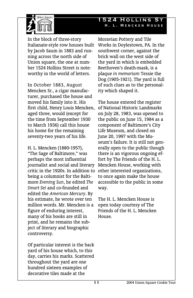

In the block of three-story Italianate-style row houses built by Jacob Saum in 1883 and running across the north side of Union square, the one at number 1524 Hollins Street is noteworthy in the world of letters.

In October 1883, August Mencken Sr., a cigar manufacturer, purchased the house and moved his family into it. His first child, Henry Louis Mencken, aged three, would (except for the time from September 1930 to March 1936) call this house his home for the remaining seventy-two years of his life.

H. L. Mencken (1880-1957), "The Sage of Baltimore," was perhaps the most influential journalist and social and literary critic in the 1920s. In addition to other interested organizations, being a columnist for the Baltimore *Evening Sun*, he edited *The Smart Set* and co-founded and edited the *American Mercury*. By his estimate, he wrote over ten million words. Mr. Mencken is a figure of enduring interest, many of his books are still in print, and he remains the subject of literary and biographic controversy.

Of particular interest is the back yard of his house which, to this day, carries his marks. Scattered throughout the yard are one hundred sixteen examples of decorative tiles made at the

## **1524 Hollins St**  H. L. Mencken House

Moravian Pottery and Tile Works in Doylestown, PA. In the southwest corner, against the brick wall on the west side of the yard in which is embedded Beethoven's death-mask, is a plaque *in memoriam* Tessie the Dog (1905-1921). The yard is full of such clues as to the personality which shaped it.

The house entered the register of National Historic Landmarks on July 28, 1983, was opened to the public on June 15, 1984 as a component of Baltimore's City Life Museum, and closed on June 20, 1997 with the Museum's failure. It is still not generally open to the public though there is an vigorous ongoing effort by The Friends of the H. L. Mencken House, working with to once again make the house accessible to the public in some way.

The H. L. Mencken House is open today courtesy of The Friends of the H. L. Mencken House.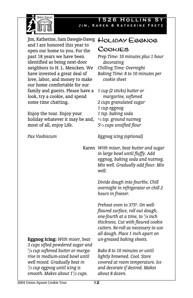

**1526 Hollins St**  Jim, Karen & Katherine Fretz

Cookies

Jim, Katherine, Sam Dawgie-Dawg HOLIDAY EGGNOG and I are honored this year to open our home to you. For the past 18 years we have been identified as being next-door neighbors to H. L. Mencken. We have invested a great deal of love, labor, and money to make our home comfortable for our family and guests. Please have a look, try a cookie, and spend some time chatting.

Enjoy the tour. Enjoy your holiday whatever it may be and, *½ tsp. ground nutmeg*  most of all, enjoy Life.

*Pax Vosbiscum* 

*Prep Time: 10 minutes plus 1 hour decorating Chilling Time: Overnight Baking Time: 8 to 10 minutes per cookie sheet 1 cup (2 sticks) butter or margarine, softened 2 cups granulated sugar 1 cup eggnog 1 tsp. baking soda* 

*5½ cups unsifted flour* 

*Eggnog icing (optional)* 

Karen *With mixer, beat butter and sugar in large bowl until fluffy. Add eggnog, baking soda and nutmeg. Mix well. Gradually add flour. Mix well.* 

> *Divide dough into fourths. Chill overnight in refrigerator or chill 2 hours in freezer.*

> *Preheat oven to 375º. On wellfloured surface, roll out dough, one-fourth at a time, to 1 /8 inch thickness. Cut with floured cookie cutters. Re-roll as necessary to use all dough. Place 1 inch apart on un-greased baking sheets.*

*Bake 8 to 10 minutes or until lightly browned. Cool. Store covered at room temperature. Ice and decorate if desired. Makes about 8 dozen.* 

**Eggnog Icing:** *With mixer, beat 3 cups sifted powdered sugar and 1 /4 cup softened butter or margarine in medium-sized bowl until well mixed. Gradually beat in 1 /3 cup eggnog until icing is smooth. Makes about 11 /2 cups.*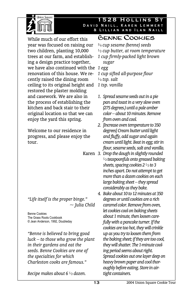

#### **1528 Hollins St**  David Naill, Karen Lemmert & Lillian and Ilan Naill

While much of our effort this year was focused on raising our two children, planting 10,000 trees at our farm, and establishing a design practice together, we have also continued with the *1 egg*  renovation of this house. We recently raised the dining room ceiling to its original height and restored the plaster molding and casework. We are also in the process of establishing the kitchen and back stair to their original location so that we can enjoy the yard this spring.

Welcome to our residence in progress, and please enjoy the tour.

*"Life itself is the proper binge." ~ Julia Child* 

Benne Cookies The Grass Roots Cookbook © Jean Anderson, 1992, Doubleday

*"Benne is believed to bring good luck – to those who grow the plant in their gardens and eat the seeds. Benne Cookies are one of the specialties for which Charleston cooks are famous."* 

*Recipe makes about 6 ½ dozen.* 

Benne Cookies

*¾ cup sesame (benne) seeds ½ cup butter, at room temperature 1 cup firmly-packed light brown sugar 1 cup sifted all-purpose flour* 

- *¼ tsp. salt*
- *1 tsp. vanilla*
- *1. Spread sesame seeds out in a pie pan and toast in a very slow oven (275 degrees.) until a pale amber color – about 10 minutes. Remove from oven and cool.*
- *2. [Increase oven temperature to 350 degrees] Cream butter until light and fluffy, add sugar and again cream until light. Beat in egg; stir in flour, sesame seeds, salt and vanilla.*
- Karen *3. Drop the dough in slightly rounded ½ teaspoonfuls onto greased baking sheets, spacing cookies 2 ½ to 3 inches apart. Do not attempt to get more than a dozen cookies on each large baking sheet – they spread considerably as they bake.* 
	- *4. Bake about 10 to 12 minutes at 350 degrees or until cookies are a rich caramel color. Remove from oven, let cookies cool on baking sheets about 1 minute, then loosen carefully with a pancake turner. If the cookies are too hot, they will crinkle up as you try to loosen them from the baking sheet; if they are too cool, they will shatter. The 1-minute cooling period seems about right. Spread cookies out one layer deep on heavy brown paper and cool thoroughly before eating. Store in airtight containers.*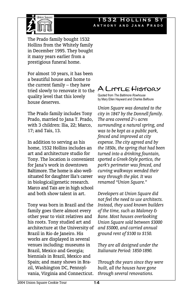#### **532 HOLLINS** Anthony and Jana Prado



The Prado family bought 1532 Hollins from the Whitely family in December 1995. They bought it many years earlier from a prestigious funeral home.

For almost 10 years, it has been a beautiful house and home to the current family – they have tried slowly to renovate it to the quality level that this lovely house deserves.

The Prado family includes Tony Prado, married to Jana T. Prado, with 3 children: Ilia, 22; Marco, 17; and Tais, 13.

In addition to serving as his home, 1532 Hollins includes an art and architecture studio for Tony. The location is convenient for Jana's work in downtown Baltimore. The home is also wellsituated for daughter Ilia's career in biological/genetic research. Marco and Tais are in high school and both show talent in art.

Tony was born in Brazil and the family goes there almost every other year to visit relatives and his roots. Tony studied art and architecture at the University of Brazil in Rio de Janeiro. His works are displayed in several venues including: museums in Brazil, Mexico and Georgia; biennials in Brazil, Mexico and Spain; and many shows in Brazil, Washington DC, Pennsylvania, Virginia and Connecticut.

# A Little History

Quoted from *The Baltimore Rowhouse* by Mary Ellen Hayward and Charles Belfoure

*Union Square was donated to the city in 1847 by the Donnell family. The area covered 2½ acres surrounding a natural spring, and was to be kept as a public park, fenced and improved at city expense. The city agreed and by the 1850s, the spring that had been turned into a drinking fountain, sported a Greek-Style portico, the park's perimeter was fenced, and curving walkways wended their way through the plot. It was renamed "Union Square."* 

*Developers at Union Square did not feel the need to use architects. Instead, they used known builders of the time, such as Maloney & Bane. Most houses overlooking Union Square sold between \$3000 and \$5000, and carried annual ground rent of \$100 to \$150.* 

*They are all designed under the Italianate Period: 1850-1890.* 

*Through the years since they were built, all the houses have gone through several renovations.*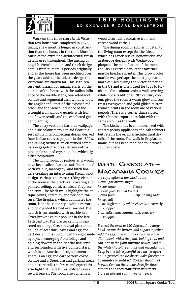



Work on this three-story brick Victorian row house was completed in 1872, taking a few months longer in construction than the houses in the same block because of the extra fine architectural finish details used throughout. The mixing of English, French, Italian, and Greek design details from numerous periods originally and as the house has been modified over the years adds to the eclectic design the Victorians are known for. This 19th century enthusiasm for mixing starts on the outside of the house with the Italian influence of the marble steps, bracketed roof cornice and segmental arch window tops, the English influence of the exposed red brick, and the French influence of the wrought iron window guards with leaf and flower scrolls and the espaliered garden planting.

The entry vestibule has blue wallpaper and a six-colour marble inlaid floor in a serpentine interconnecting design derived from Italian sources popular in the 1800's. The ceiling fixture is an electrified combination gas/electric brass fixture with a pineapple shaped crystal globe, which signifies hospitality.

The living room, or parlour as it would have been called, features oak floors inlaid with walnut, mahogany, and birch borders creating an intertwining French knot design. Perhaps the most striking element of the room is the black wall covering and painted ceiling, cornices, frieze, fireplace and trim. The black walls highlight the antique prints, ceramics, and period furniture. The fireplace, which dominates the room, is in the Tutor style with a mirror and gold gilded framed over mantel. The hearth is surrounded with marble in a "liver brown" colour popular in the late 19th century. The plaster ceiling is centered on a large Greek revival plaster medallion of acanthus leaves and egg and dart design. It is surrounded by eight nude nymphets emerging from foliage and holding flowers in the Neoclassical style, and surrounded with five pointed stars, which is an American design element. There is an egg and dart pattern coved cornice and a Greek urn and garland frieze and picture rail. The brass and crystal six arm light fixture features stylized Greek revival leaves. The room also contains a

wood chair rail, decorative trim, and carved wood corbels.

The dining room is similar in detail to the living room except for the frieze, which has Greek revival honeysuckle and arabesque designs with Wedgwood plaques. The main feature of the room is the 1880's carved dark cedar tavernell marble fireplace mantel. This brown color marble was perhaps the most popular marbles used during the Victorian period in the US and is often used for tops to furniture. The "salmon" colour wall covering, while not a traditional 19th century colour, gives the room a warm glow and contrasts Wedgwood and gold gilded mirror. Framed prints in the room are of various periods. There is a corner china closet, with Chinese export porcelain with the same colour as the walls.

The kitchen has been modernized with contemporary appliances and oak cabinets but retains the original architectural details of the room. The walk-in fireplace remains but has been modified to increase counter space.

## White Chocolate-Macadamia Cookies

- *1½ cups softened unsalted butter 1 cup light brown sugar*
- *½ cup sugar 2 eggs*
- *1½ tbs. pure vanilla extract*
- *3 cups flour 1 tsp. baking soda*
- *½ tsp. salt*
- *12 oz. high-quality white chocolate, coarsely chopped*
- *6 oz. salted macadamia nuts, coarsely chopped*

*Preheat the oven to 350 degrees. In a large bowl, cream the butters and sugars together. Add the eggs and vanilla extract. In a medium bowl, whisk the flour, baking soda and salt. Stir in the flour mixture slowly. Fold in the white chocolate chunks and macadamias. Drop by the tablespoonful two inches apart on un-greased cookie sheets. Bake for eight to 10 minutes or until set. Cookies should not brown. Cool on the cookie sheet for three minutes and then transfer to wire racks. Store in airtight containers or freeze.*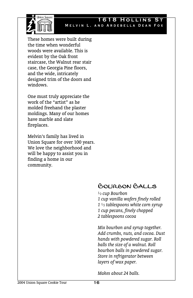

#### **1618 HOLLINS** Melvin L. and Ardebella Dean Fox

These homes were built during the time when wonderful woods were available. This is evident by the Oak front staircase, the Walnut rear stair case, the Georgia Pine floors, and the wide, intricately designed trim of the doors and windows.

One must truly appreciate the work of the "artist" as he molded freehand the plaster moldings. Many of our homes have marble and slate fireplaces.

Melvin's family has lived in Union Square for over 100 years. We love the neighborhood and will be happy to assist you in finding a home in our community.

## Bourbon Balls

*½ cup Bourbon 1 cup vanilla wafers finely rolled 1 ½ tablespoons white corn syrup 1 cup pecans, finely chopped 2 tablespoons cocoa* 

*Mix bourbon and syrup together. Add crumbs, nuts, and cocoa. Dust hands with powdered sugar. Roll balls the size of a walnut. Roll bourbon balls in powdered sugar. Store in refrigerator between layers of wax paper.* 

*Makes about 24 balls.*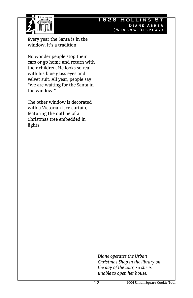

## **1628 Hollins St**  Diane Asher (Window Display)

Every year the Santa is in the window. It's a tradition!

No wonder people stop their cars or go home and return with their children. He looks so real with his blue glass eyes and velvet suit. All year, people say "we are waiting for the Santa in the window."

The other window is decorated with a Victorian lace curtain, featuring the outline of a Christmas tree embedded in lights.

> *Diane operates the Urban Christmas Shop in the library on the day of the tour, so she is unable to open her house.*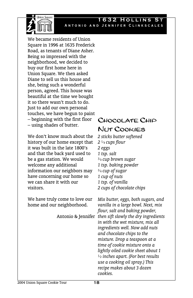

#### **HOLLINS** Antonio and Jennifer Clinkscales

We became residents of Union Square in 1996 at 1635 Frederick Road, as tenants of Diane Asher. Being so impressed with the neighborhood, we decided to buy our first home here in Union Square. We then asked Diane to sell us this house and she, being such a wonderful person, agreed. This house was beautiful at the time we bought it so there wasn't much to do. Just to add our own personal touches, we have begun to paint – beginning with the first floor – using shades of butter.

We don't know much about the history of our home except that it was built in the late 1800's and that the back yard used to be a gas station. We would welcome any additional information our neighbors may have concerning our home so we can share it with our visitors.

We have truly come to love our home and our neighborhood.

## Chocolate Chip Nut Cookies

*2 sticks butter softened 2 ¼ cups flour 2 eggs 1 tsp. salt ¾ cup brown sugar 1 tsp. baking powder ¾ cup of sugar 1 cup of nuts 1 tsp. of vanilla 2 cups of chocolate chips* 

Antonio & Jennifer *then sift slowly the dry ingredients Mix butter, eggs, both sugars, and vanilla in a large bowl. Next, mix flour, salt and baking powder, in with the wet mixture, mix all ingredients well. Now add nuts and chocolate chips to the mixture. Drop a teaspoon at a time of cookie mixture onto a lightly oiled cookie sheet about 1 ½ inches apart. (For best results use a cooking oil spray.) This recipe makes about 3 dozen cookies.*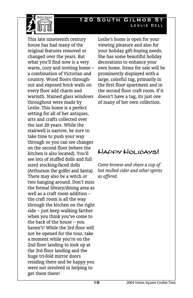## **120 South Gilmor St**  Leslie Dell



This late nineteenth century house has had many of the original features removed or changed over the years. But what you'll find now is a very warm, cozy and inviting home – a combination of Victorian and country. Wood floors throughout and exposed brick walls on every floor add charm and warmth. Stained glass windows throughout were made by Leslie. This home is a perfect setting for all of her antiques, arts and crafts collected over the last 20 years. While the stairwell is narrow, be sure to take time to push your way through so you can see changes on the second floor (where the kitchen is also located). You'll see lots of stuffed dolls and full sized stocking-faced dolls (Arthurson the golfer and Santa). There may also be a witch or two hanging around. Don't miss the formal library/dining area as well as a craft room addition – the craft room is all the way through the kitchen on the right side – just keep walking farther when you think you've come to the back of the house – you haven't! While the 3rd floor will not be opened for the tour, take a moment while you're on the 2nd floor landing to look up at the 3rd floor landing and the huge tri-fold mirror doors residing there and be happy you were not involved in helping to get them there!

Leslie's home is open for your viewing pleasure and also for your holiday gift-buying needs. She has some beautiful holiday decorations to enhance your own home. Items for sale will be prominently displayed with a large, colorful tag, primarily in the first floor apartment and in the second floor craft room. If it doesn't have a tag, its just one of many of her own collection.

## Happy Holidays!

*Come browse and share a cup of hot mulled cider and other spirits as offered.*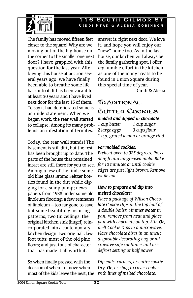### **16 SOUTH GILMOR** Cindi Ptak & Alesia Robinson



The family has moved fifteen feet closer to the square! Why are we moving out of the big house on the corner to the smaller one next door? I have grappled with this question for the last year. After buying this house at auction several years ago, we have finally been able to breathe some life back into it. It has been vacant for at least 30 years and I have lived next door for the last 15 of them. To say it had deteriorated some is an understatement. When we began work, the rear wall started to collapse. Among its many problems: an infestation of termites.

Today, the rear wall stands! The basement is still dirt, but the rest has been brought up to date. The parts of the house that remained intact are still there for you to see. Among a few of the finds: some old blue glass Bromo Seltzer bottles found in the dirt while digging for a sump pump; newspapers from 1938 under some old linoleum flooring; a few remnants of linoleum – too far gone to save, but some beautifully inspiring patterns; two tin ceilings; the original kitchen sink (huge!) reincorporated into a contemporary kitchen design; two original claw foot tubs; most of the old pine floors; and just tons of character that has made it all worth it.

So when finally pressed with the decision of where to move when most of the kids leave the nest, the

answer is: right next door. We love it, and hope you will enjoy our "new" home too. As in the last house, our kitchen will always be the family gathering spot. I offer *my* humble effort in the kitchen as one of the many treats to be found in Union Square during this special time of year.

Cindi & Alesia

## Traditional Butter Cookies

## *molded and dipped in chocolate*

*1 cup butter 1 cup sugar 2 large eggs 3 cups flour 1 tsp. grated lemon or orange rind* 

## *For molded cookies:*

*Preheat oven to 325 degrees. Press dough into un-greased mold. Bake for 10 minutes or until cookie edges are just light brown. Remove while hot.* 

## *How to prepare and dip into melted chocolate:*

*Place a package of Wilson Chocolate Cookie Dips in the top half of a double boiler. Simmer water in pan, remove from heat and place pan with chocolate on top. Stir. Or, melt Cookie Dips in a microwave. Place chocolate discs in an uncut disposable decorating bag or microwave-safe container and use defrost setting or half power.* 

*Dip ends, corners, or entire cookie. Dry. Or, use bag to cover cookie with lines of melted chocolate.*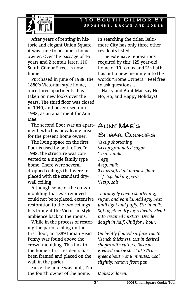#### **10 SOUTH GILMOR** Brosenne, Brown and Jones



 After years of renting in historic and elegant Union Square, it was time to become a home owner. Over the passage of 16 years and 2 rentals later, 110 South Gilmor Street is now home.

 Purchased in June of 1988, the 1880's Victorian style home, once three apartments, has taken on new looks over the years. The third floor was closed in 1940, and never used until 1988, as an apartment for Aunt Mae.

 The second floor was an apartment, which is now living area for the present home owner.

 The living space on the first floor is used by both of us. In 1988, the structure was converted to a single family type home. There were several dropped ceilings that were replaced with the standard drywall ceiling.

 Although some of the crown moulding that was removed could not be replaced, extensive restoration to the two ceilings has brought the Victorian style ambience back to the rooms.

 While in the process of restoring the parlor ceiling on the first floor, an 1889 Indian Head Penny was found above the crown moulding. This link to the home's first residents has been framed and placed on the wall in the parlor.

 Since the home was built, I'm the fourth owner of the home.

In searching the titles, Baltimore City has only three other residents listed.

 The extensive renovations required by this 125 year-old home of 10 rooms and 2½ baths has put a new meaning into the words "Home Owners." Feel free to ask questions...

 Harry and Aunt Mae say Ho, Ho, Ho, and Happy Holidays!

# Aunt Mae's Sugar Cookies

*2 /3 cup shortening 3 /4 cup granulated sugar 1 tsp. vanilla 1 egg 4 tsp. milk 2 cups sifted all-purpose flour 1 1 /2 tsp. baking power 1 /4 tsp. salt* 

*Thoroughly cream shortening, sugar, and vanilla. Add egg, beat until light and fluffy. Stir in milk. Sift together dry ingredients. Blend into creamed mixture. Divide dough in half. Chill for 1 hour.* 

*On lightly floured surface, roll to 1 /8 inch thickness. Cut in desired shapes with cutters. Bake on greased cookie sheet at 375 degrees about 6 or 8 minutes. Cool slightly; remove from pan.* 

*Makes 2 dozen.*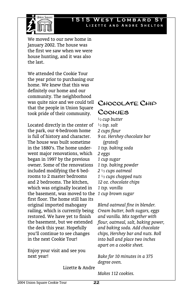

## **1515 WEST LOMBARD** Lizette and Andre Shelton

We moved to our new home in January 2002. The house was the first we saw when we were house hunting, and it was also the last.

We attended the Cookie Tour the year prior to purchasing our home. We knew that this was definitely our home and our community. The neighborhood was quite nice and we could tell that the people in Union Square took pride of their community.

Located directly in the center of the park, our 4-bedroom home is full of history and character. The house was built sometime in the 1880's. The home underwent major renovations, which began in 1997 by the previous owner. Some of the renovations included modifying the 6 bedrooms to 2 master bedrooms and 2 bedrooms. The kitchen, which was originally located in the basement, was moved to the first floor. The home still has its original imported mahogany railing, which is currently being restored. We have yet to finish the basement, but we extended the deck this year. Hopefully you'll continue to see changes in the next Cookie Tour!

Enjoy your visit and see you next year!

## Chocolate Chip Cookies

*½ cup butter ½ tsp. salt 2 cups flour 9 oz. Hershey chocolate bar (grated) 1 tsp. baking soda 2 eggs 1 cup sugar 1 tsp. baking powder 2 ½ cups oatmeal 1 ½ cups chopped nuts 12 oz. chocolate chips 1 tsp. vanilla 1 cup brown sugar* 

*Blend oatmeal fine in blender. Cream butter, both sugars, eggs and vanilla. Mix together with flour, oatmeal, salt, baking power, and baking soda. Add chocolate chips, Hershey bar and nuts. Roll into ball and place two inches apart on a cookie sheet.* 

*Bake for 10 minutes in a 375 degree oven.* 

Lizette & Andre

*Makes 112 cookies.*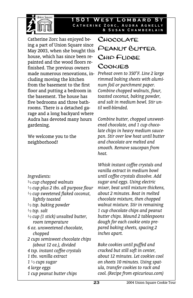

**501 WEST LOMBARD** Catherine Zorc, Audra Agnelly & Susan Chamberlain

Catherine Zorc has enjoyed being a part of Union Square since May 2003, when she bought this house, which has since been repainted and the wood floors refinished. The previous owners made numerous renovations, including moving the kitchen from the basement to the first floor and putting a bedroom in the basement. The house has five bedrooms and three bathrooms. There is a detached garage and a long backyard where Audra has devoted many hours gardening.

We welcome you to the neighborhood!

*Ingredients:* 

*¾ cup chopped walnuts ½ cup plus 2 tbs. all purpose flour ½ cup sweetened flaked coconut, lightly toasted ½ tsp. baking powder ½ tsp. salt ½ cup (1 stick) unsalted butter, room temperature 6 oz. unsweetened chocolate, chopped 2 cups semisweet chocolate chips (about 12 oz.), divided 4 tsp. instant coffee crystals 1 tbs. vanilla extract 1 ½ cups sugar 4 large eggs 1 cup peanut butter chips* 

# Chocolate Peanut Butter Chip Fudge Cookies

*Preheat oven to 350°F. Line 2 large rimmed baking sheets with aluminum foil or parchment paper. Combine chopped walnuts, flour, toasted coconut, baking powder, and salt in medium bowl. Stir until well-blended.* 

*Combine butter, chopped unsweetened chocolate, and 1 cup chocolate chips in heavy medium saucepan. Stir over low heat until butter and chocolate are melted and smooth. Remove saucepan from heat.* 

*Whisk instant coffee crystals and vanilla extract in medium bowl until coffee crystals dissolve. Add sugar and eggs. Using electric mixer, beat until mixture thickens, about 2 minutes. Beat in melted chocolate mixture, then chopped walnut mixture. Stir in remaining 1 cup chocolate chips and peanut butter chips. Mound 2 tablespoons dough for each cookie onto prepared baking sheets, spacing 2 inches apart.* 

*Bake cookies until puffed and cracked but still soft in center, about 12 minutes. Let cookies cool on sheets 10 minutes. Using spatula, transfer cookies to rack and cool. (Recipe from epicurious.com)*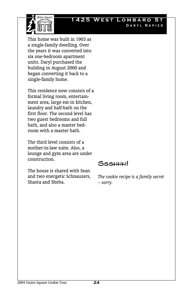

## **1425 West Lombard St**  Daryl Napier

This home was built in 1903 as a single-family dwelling. Over the years it was converted into six one-bedroom apartment units. Daryl purchased the building in August 2000 and began converting it back to a single-family home.

This residence now consists of a formal living room, entertainment area, large eat-in kitchen, laundry and half-bath on the first floor. The second level has two guest bedrooms and full bath, and also a master bedroom with a master bath.

The third level consists of a mother-in-law suite. Also, a lounge and gym area are under construction.

The house is shared with Sean and two energetic Schnauzers, Shasta and Sheba.

Ssshhh!

*The cookie recipe is a family secret – sorry.*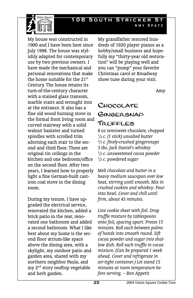

**108 South Stricker St**  Amy Spatz

My house was constructed in 1900 and I have been here since July 1998. The house was stylishly adapted for contemporary use by two previous owners. I have made the mechanical and personal renovations that make the home suitable for the 21<sup>st</sup> Century. The house retains its turn-of-the-century character with a stained glass transom, marble stairs and wrought iron at the entrance. It also has a fine old wood burning stove in the formal front living room and curved stairway with a solid walnut banister and turned spindles with scrolled trim adorning each stair to the second and third floor. There are original tin ceilings in the kitchen and one bedroom/office on the second floor. After two years, I learned how to properly light a fine German-built castiron coal stove in the dining room.

During my tenure, I have upgraded the electrical service, renovated the kitchen, added a brick patio in the rear, renovated one bathroom and added a second bathroom. What I like best about my home is the second floor atrium-like space above the dining area, with a skylight, my outdoor patio and garden area, shared with my northern neighbor Paula, and my 2nd story rooftop vegetable and herb garden.

My grandfather restored hundreds of 1920 player pianos as a hobby/small business and hopefully my "thirty-year old restoration" will be playing well and you can "pump" your favorite Christmas carol or Broadway show tune during your visit.

Amy

## Chocolate Gingersnap Truffles

*8 oz semisweet chocolate, chopped 1 /2 c. (1 stick) unsalted butter 2 /3 c. finely-crushed gingersnaps 3 tbs. Jack Daniel's whiskey 1 /2 c. unsweetened cocoa powder 1 /2 c. powdered sugar* 

*Melt chocolate and butter in a heavy medium saucepan over low heat, stirring until smooth. Mix in crushed cookies and whiskey. Pour into bowl. Cover and chill until firm, about 45 minutes.* 

*Line cookie sheet with foil. Drop truffle mixture by tablespoons onto foil, spacing apart. Freeze 15 minutes. Roll each between palms of hands into smooth round. Sift cocoa powder and sugar into shallow dish. Roll each truffle in cocoa mixture. (Can be prepared 1 week ahead. Cover and refrigerate in air-tight container.) Let stand 15 minutes at room temperature before serving. – Bon Appetit*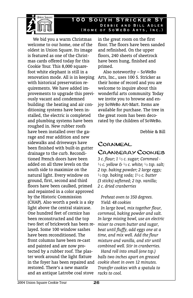

#### **100 South Stricker St**  Debbie and Bill Adler (Home of SoWeBo Arts, Inc.)

We bid you a warm Christmas welcome to our home, one of the oldest in Union Square. Its image is featured as one of the Christmas cards offered today for this Cookie Tour. This 8,000 squarefoot white elephant is still in a renovation mode. All is in keeping with historical preservation requirements. We have added improvements to upgrade this previously vacant and condemned building: the heating and air conditioning systems have been installed, the electric is completed and plumbing systems have been roughed in. New rubber roofs have been installed over the garage and rear addition and new sidewalks and driveways have been finished with built-in gutter drainage to the curb. Reconditioned French doors have been added on all three levels on the south side to maximize on the natural light. Every window on ground, first, second and third floors have been caulked, primed and repainted in a color approved by the Historic Commission (CHAP). Also worth a peek is a sky light above the central staircase. One hundred feet of cornice has been reconstructed and the top two feet of brickwork has been relayed. Some 100 window sashes have been reconditioned. The front columns have been re-cast and painted and are now protected by a rubber roof. The plaster work around the light fixture in the foyer has been repaired and restored. There's a new mantle and an antique Latrobe coal stove

in the great room on the first floor. The floors have been sanded and refinished. On the upper floors, 240 sheets of sheetrock have been hung, finished and primed.

Also noteworthy – SoWeBo Arts, Inc., uses 100 S. Stricker as their home of record and you are welcome to inquire about this wonderful arts community. Today we invite you to browse and enjoy SoWeBo Art-Mart. Items are available for purchase. The tree in the great room has been decorated by the children of SoWeBo.

Debbie & Bill

# **CORNMEAL** Cranberry Cookies

*3 c. flour; 1 ½ c. sugar; Cornmeal - ½ c. yellow & ½ c. white; ½ tsp. salt; 2 tsp. baking powder; 2 large eggs; ½ tsp. baking soda; 1½ c. butter (3 sticks) softened; 2 tsp. vanilla; 2 c. dried cranberries* 

 *Preheat oven to 350 degrees. Yield: 48 cookies* 

 *In large bowl, mix together flour, cornmeal, baking powder and salt. In large mixing bowl, use an electric mixer to cream butter and sugar, beat until fluffy, add eggs one at a time, and mix well. Add the flour mixture and vanilla, and stir until combined well. Stir in cranberries.* 

 *Hand roll into small (one tsp.) balls two inches apart on greased cookie sheet in oven 12 minutes. Transfer cookies with a spatula to racks to cool.*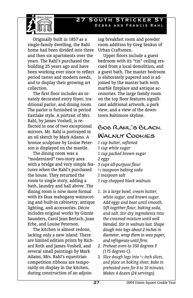## **27 South Stricker St**  Debra and Francis Rahl



Originally built in 1857 as a single-family dwelling, the Rahl home had been divided into three and then six apartments over the years. The Rahl's purchased the building 25 years ago and have been working ever since to reflect period tastes and modern needs, and to display their growing art collection.

The first floor includes an ornately decorated entry foyer, traditional parlor, and dining room. The parlor is furnished in period Eastlake style. A portrait of Mrs. Rahl, by James Voshell, is reflected in one of two exceptional mirrors. Mr. Rahl is portrayed in an oil sketch by Mark Adams. A bronze sculpture by Louise Peterson is displayed on the mantle.

The dining room was a "modernized" two-story area with a bridge and very simple features when the Rahl's purchased the house. They returned the room to single story, adding a bath, laundry and hall above. The dining room is now more formal with its faux mahogany wainscoting and built-in cabinetry, antique lighting, and accessories. Décor includes original works by Ginnie Saunders, Carol Jean Bertsch, Joan Erbe, and Louise Peterson.

The kitchen is almost redone, lacking only a new island. There are limited edition prints by Richard Roth and James Voshell, and several small paintings by Mark Adams. Mrs. Rahl's equestrian competition ribbons are temporarily on display in the kitchen, during construction of an adjoining breakfast room and powder room addition by Greg Senkus of Urban Craftsmen.

Upper floors include a guest bedroom with its "tin" ceiling rescued from a local demolition, and a guest bath. The master bedroom is elaborately papered and is adjoined by the master bath with marble fireplace and antique accessories. The large family room on the top floor features significant additional artwork, a park view, and a view of the downtown Baltimore skyline.

## Bob Rahl's Black WAL NUT COOKIES

- *1 cup butter, softened 1 cup white sugar 1 cup packed brown sugar 2 eggs 3 cups all-purpose flour ½ teaspoon baking soda 1 teaspoon salt 1 cup chopped black walnuts*
- *1. In a large bowl, cream butter, white sugar, and brown sugar. Add eggs and beat until smooth. Sift together flour, baking soda, and salt. Stir dry ingredients into the creamed mixture until well blended. Stir in walnuts last. Shape dough into logs about 2 inches in diameter, wrap them in wax paper, and refrigerate until firm.*
- *2. Preheat oven to 350 degrees F (175 degrees C).*
- *3. Slice dough logs into ½ inch slices, and place on baking sheet. Bake in preheated oven for 8 to 10 minutes. Makes 4 dozen (24 servings).*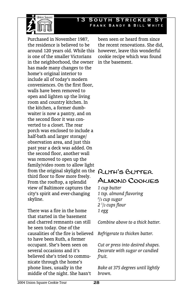

#### **13 SOUTH STRICKER** Frank Bandy & Bill White

Purchased in November 1987, the residence is believed to be around 120 years old. While this is one of the smaller Victorians in the neighborhood, the owner has made many changes to the home's original interior to include all of today's modern conveniences. On the first floor, walls have been removed to open and lighten up the living room and country kitchen. In the kitchen, a former dumbwaiter is now a pantry, and on the second floor it was converted to a closet. The rear porch was enclosed to include a half-bath and larger storage/ observation area, and just this past year a deck was added. On the second floor, another wall was removed to open up the family/video room to allow light from the original skylight on the **RUTH'S BUTTER** third floor to flow more freely. From the rooftop, a splendid view of Baltimore captures the city's spirit and ever-changing skyline.

There was a fire in the home that started in the basement and charred remnants can still be seen today. One of the causalities of the fire is believed to have been Ruth, a former occupant. She's been seen on several occasions and it's believed she's tried to communicate through the home's phone lines, usually in the middle of the night. She hasn't

been seen or heard from since the recent renovations. She did, however, leave this wonderful cookie recipe which was found in the basement.

# Almond Cookies

*1 cup butter 1 tsp. almond flavoring 2 /3 cup sugar 2 1 /2 cups flour 1 egg* 

*Combine above to a thick batter.* 

*Refrigerate to thicken batter.* 

*Cut or press into desired shapes. Decorate with sugar or candied fruit.* 

*Bake at 375 degrees until lightly brown.*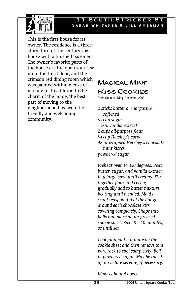

This is the first house for its owner. The residence is a threestory, turn-of-the-century row house with a finished basement. The owner's favorite parts of the house are the open staircase up to the third floor, and the crimson red dining room which was painted within weeks of moving in. In addition to the charm of the home, the best part of moving to the neighborhood has been the friendly and welcoming community.

**Inion Souare** 

# Magical Mint Kiss Cookies

From Country Living, December 2003

*2 sticks butter or margarine, softened 2 /3 cup sugar 1 tsp. vanilla extract 2 cups all-purpose flour 1 /4 cup Hershey's cocoa 48 unwrapped Hershey's chocolate mint kisses powdered sugar* 

*Preheat oven to 350 degrees. Beat butter, sugar, and vanilla extract in a large bowl until creamy. Stir together flour and cocoa; gradually add to butter mixture, beating until blended. Mold a scant teaspoonful of the dough around each chocolate kiss, covering completely. Shape into balls and place on un-greased cookie sheet. Bake 8 – 10 minutes, or until set.* 

*Cool for about a minute on the cookie sheet and then remove to a wire rack to cool completely. Roll in powdered sugar. May be rolled again before serving, if necessary.* 

*Makes about 4 dozen.*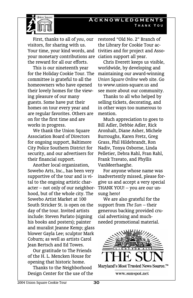## **Acknowledgments**  Thank You



First, thanks to all of *you*, our visitors, for sharing with us. Your time, your kind words, and your monetary contributions are ciation support all year. the reward for all our efforts.

This is our nineteenth year for the Holiday Cookie Tour. The committee is grateful to all the homeowners who have opened their lovely homes for the viewing pleasure of our many guests. Some have put their homes on tour every year and are regular favorites. Others are on for the first time and are works in progress.

We thank the Union Square Association Board of Directors for ongoing support, Baltimore City Police Southern District for security, and our advertisers for their financial support.

Another local organization, Sowebo Arts, Inc., has been very supportive of the tour and is vital to the ongoing artistic character – not only of our neighborhood, but of the whole city. The Sowebo Artist Market at 100 South Stricker St. is open on the day of the tour. Invited artists include: Steven Parlato (signing his books and posters); painter and muralist Jeanne Kemp; glass blower Gayla Lee; sculptor Mark Coburn; as well as artists Carol Jean Bertsch and Ed Towes.

Our gratitude to The Friends of the H. L. Mencken House for opening that historic home.

Thanks to the Neighborhood Design Center for the use of the

restored "Old No. 2" Branch of the Library for Cookie Tour activities and for project and Asso-

Chris Everett keeps us visible, worldwide, by developing and maintaining our award-winning *Union Square Online* web site. Go to www.union-square.us and see more about our community.

Thanks to all who helped by selling tickets, decorating, and in other ways too numerous to mention.

Much appreciation to goes to Bill Adler, Debbie Adler, Rick Aronhalt, Diane Asher, Michele Burroughs, Karen Fretz, Greg Grass, Phil Hildebrandt, Ron Nadiv, Tonya Osborne, Linda Pelletier, Debra Rahl, Fran Rahl, Frank Travato, and Phyllis VanMeerhaeghe.

For anyone whose name was inadvertently missed, please forgive us and accept a very special THANK YOU! – you are our unsung hero!

We are also grateful for the support from *The Sun* – their generous backing provided crucial advertising and muchneeded promotional material.

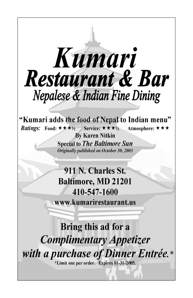

"Kumari adds the food of Nepal to Indian menu" Service:  $\star \star \star \vee_2$ *Ratings:* Food:  $\star \star \star \star$ Atmosphere:  $\star \star \star$ 

> **By Karen Nitkin Special to The Baltimore Sun** Originally published on October 30, 2003

911 N. Charles St. **Baltimore, MD 21201** 410-547-1600

www.kumarirestaurant.us

Bring this ad for a **Complimentary Appetizer** with a purchase of Dinner Entrée.\*

\*Limit one per order. Expires 01-31-2005.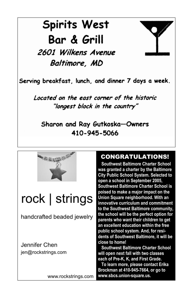# **Spirits West** Bar & Grill

2601 Wilkens Avenue Baltimore, MD

Serving breakfast, lunch, and dinner 7 days a week.

Located on the east corner of the historic "longest block in the country"

Sharon and Ray Gutkoska-Owners 410-945-5066



# rock | strings

handcrafted beaded jewelry

Jennifer Chen jen@rockstrings.com

www.rockstrings.com

## CONGRATULATIONS!

 **Southwest Baltimore Charter School was granted a charter by the Baltimore City Public School System. Selected to open a school in September 2005, Southwest Baltimore Charter School is poised to make a major impact on the Union Square neighborhood. With an innovative curriculum and commitment to the Southwest Baltimore community, the school will be the perfect option for parents who want their children to get an excellent education within the free public school system. And, for residents of Southwest Baltimore, it will be close to home!** 

 **Southwest Baltimore Charter School will open next fall with two classes each of Pre-K, K, and First Grade.** 

 **To learn more, please contact Erika Brockman at 410-945-7664, or go to www.sbcs.union-square.us.**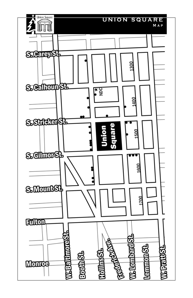